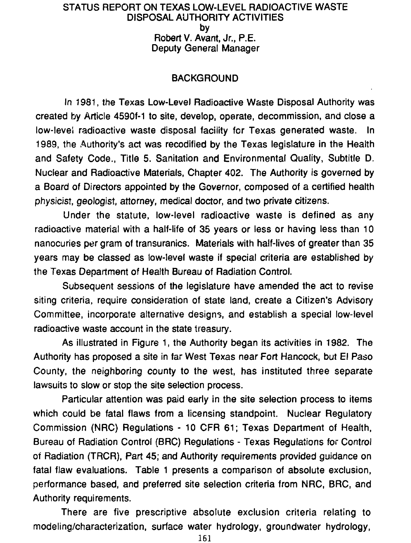#### STATUS REPORT ON TEXAS LOW-LEVEL RADIOACTIVE WASTE DISPOSAL AUTHORITY ACTIVITIES by Robert V. Avant, Jr., P.E. Deputy General Manager

# **BACKGROUND**

In 1981, the Texas Low-Level Radioactive Waste Disposal Authority was created by Article 4590f-1 to site, develop, operate, decommission, and close a low-level radioactive waste disposal facility for Texas generated waste. In 1989, the Authority's act was recodified by the Texas legislature in the Health and Safety Code., Title 5. Sanitation and Environmental Quality, Subtitle D. Nuclear and Radioactive Materials, Chapter 402. The Authority is governed by a Board of Directors appointed by the Governor, composed of a certified health physicist, geologist, attorney, medical doctor, and two private citizens.

Under the statute, low-level radioactive waste is defined as any radioactive material with a half-life of 35 years or less or having less than 10 nanocuries per gram of transuranics. Materials with half-lives of greater than 35 years may be classed as low-level waste if special criteria are established by the Texas Department of Health Bureau of Radiation Control.

Subsequent sessions of the legislature have amended the act to revise siting criteria, require consideration of state land, create a Citizen's Advisory Committee, incorporate alternative designs, and establish a special low-level radioactive waste account in the state treasury.

As illustrated in Figure 1, the Authority began its activities in 1982. The Authority has proposed a site in far West Texas near Fort Hancock, but El Paso County, the neighboring county to the west, has instituted three separate lawsuits to slow or stop the site selection process.

Particular attention was paid early in the site selection process to items which could be fatal flaws from a licensing standpoint. Nuclear Regulatory Commission (NRC) Regulations - 10 CFR 61; Texas Department of Health, Bureau of Radiation Control (BRC) Regulations - Texas Regulations for Control of Radiation (TRCR), Part 45; and Authority requirements provided guidance on fatal flaw evaluations. Table 1 presents a comparison of absolute exclusion, performance based, and preferred site selection criteria from NRC, BRC, and Authority requirements.

There are five prescriptive absolute exclusion criteria relating to modeling/characterization, surface water hydrology, groundwater hydrology,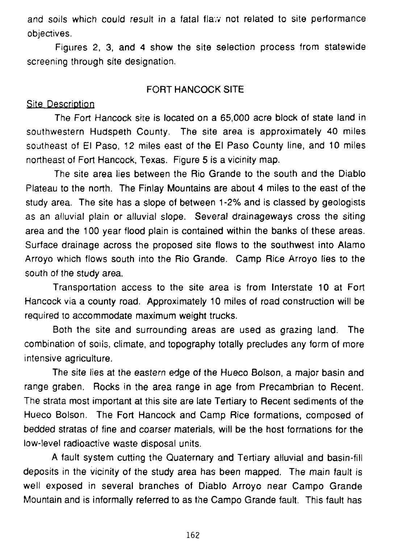and soils which could result in a fatal flaw not related to site performance objectives.

Figures 2, 3, and 4 show the site selection process from statewide screening through site designation.

#### FORT HANCOCK SITE

#### Site Description

The Fort Hancock site is located on a 65,000 acre block of state land in southwestern Hudspeth County. The site area is approximately 40 miles southeast of El Paso, 12 miles east of the El Paso County line, and 10 miles northeast of Fort Hancock, Texas. Figure 5 is a vicinity map.

The site area lies between the Rio Grande to the south and the Diablo Plateau to the north. The Finlay Mountains are about 4 miles to the east of the study area. The site has a slope of between 1 -2% and is classed by geologists as an alluvial plain or alluvial slope. Several drainageways cross the siting area and the 100 year flood plain is contained within the banks of these areas. Surface drainage across the proposed site flows to the southwest into Alamo Arroyo which flows south into the Rio Grande. Camp Rice Arroyo lies to the south of the study area.

Transportation access to the site area is from Interstate 10 at Fort Hancock via a county road. Approximately 10 miles of road construction will be required to accommodate maximum weight trucks.

Both the site and surrounding areas are used as grazing land. The combination of soils, climate, and topography totally precludes any form of more intensive agriculture.

The site lies at the eastern edge of the Hueco Bolson, a major basin and range graben. Rocks in the area range in age from Precambrian to Recent. The strata most important at this site are late Tertiary to Recent sediments of the Hueco Bolson. The Fort Hancock and Camp Rice formations, composed of bedded stratas of fine and coarser materials, will be the host formations for the low-level radioactive waste disposal units.

A fault system cutting the Quaternary and Tertiary alluvial and basin-fill deposits in the vicinity of the study area has been mapped. The main fault is well exposed in several branches of Diablo Arroyo near Campo Grande Mountain and is informally referred to as the Campo Grande fault. This fault has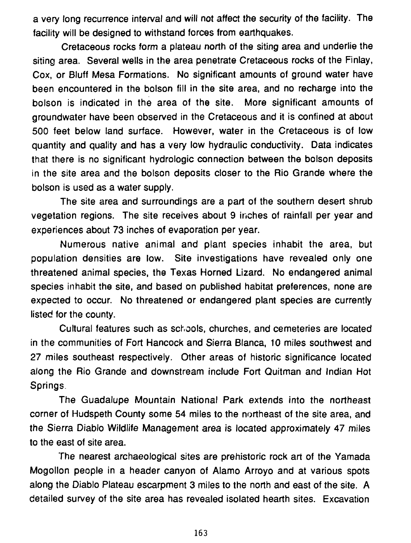a very long recurrence interval and will not affect the security of the facility. The facility will be designed to withstand forces from earthquakes.

Cretaceous rocks form a plateau north of the siting area and underlie the siting area. Several wells in the area penetrate Cretaceous rocks of the Finlay, Cox, or Bluff Mesa Formations. No significant amounts of ground water have been encountered in the bolson fill in the site area, and no recharge into the bolson is indicated in the area of the site. More significant amounts of groundwater have been observed in the Cretaceous and it is confined at about 500 feet below land surface. However, water in the Cretaceous is of low quantity and quality and has a very low hydraulic conductivity. Data indicates that there is no significant hydrologic connection between the bolson deposits in the site area and the bolson deposits closer to the Rio Grande where the bolson is used as a water supply.

The site area and surroundings are a part of the southern desert shrub vegetation regions. The site receives about 9 inches of rainfall per year and experiences about 73 inches of evaporation per year.

Numerous native animal and plant species inhabit the area, but population densities are low. Site investigations have revealed only one threatened animal species, the Texas Horned Lizard. No endangered animal species inhabit the site, and based on published habitat preferences, none are expected to occur. No threatened or endangered plant species are currently listed for the county.

Cultural features such as schools, churches, and cemeteries are located in the communities of Fort Hancock and Sierra Blanca, 10 miles southwest and 27 miles southeast respectively. Other areas of historic significance located along the Rio Grande and downstream include Fort Quitman and Indian Hot Springs

The Guadalupe Mountain National Park extends into the northeast corner of Hudspeth County some 54 miles to the northeast of the site area, and the Sierra Diablo Wildlife Management area is located approximately 47 miles to the east of site area.

The nearest archaeological sites are prehistoric rock art of the Yamada Mogollon people in a header canyon of Alamo Arroyo and at various spots along the Diablo Plateau escarpment 3 miles to the north and east of the site. A detailed survey of the site area has revealed isolated hearth sites. Excavation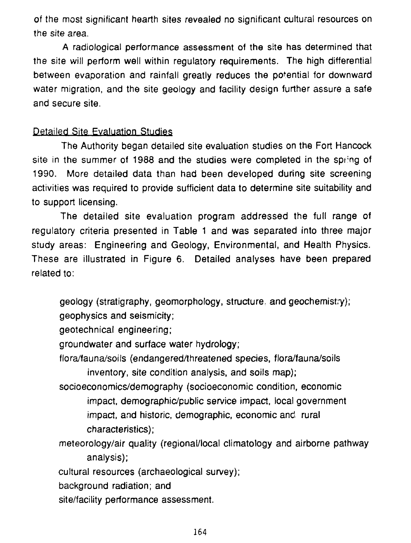of the most significant hearth sites revealed no significant cultural resources on the site area.

A radiological performance assessment of the site has determined that the site will perform well within regulatory requirements. The high differential between evaporation and rainfall greatly reduces the potential for downward water migration, and the site geology and facility design further assure a safe and secure site.

# Detailed Site Evaluation Studies

The Authority began detailed site evaluation studies on the Fort Hancock site in the summer of 1988 and the studies were completed in the spr'ng of 1990. More detailed data than had been developed during site screening activities was required to provide sufficient data to determine site suitability and to support licensing.

The detailed site evaluation program addressed the full range of regulatory criteria presented in Table 1 and was separated into three major study areas: Engineering and Geology, Environmental, and Health Physics. These are illustrated in Figure 6. Detailed analyses have been prepared related to:

geology (stratigraphy, geomorphology, structure, and geochemistry);

geophysics and seismicity;

geotechnical engineering;

groundwater and surface water hydrology;

flora/fauna/soils (endangered/threatened species, flora/fauna/soils inventory, site condition analysis, and soils map);

socioeconomics/demography (socioeconomic condition, economic impact, demographic/public service impact, local government impact, and historic, demographic, economic and rural characteristics);

meteorology/air quality (regional/local climatology and airborne pathway analysis);

cultural resources (archaeological survey);

background radiation; and

site/facility performance assessment.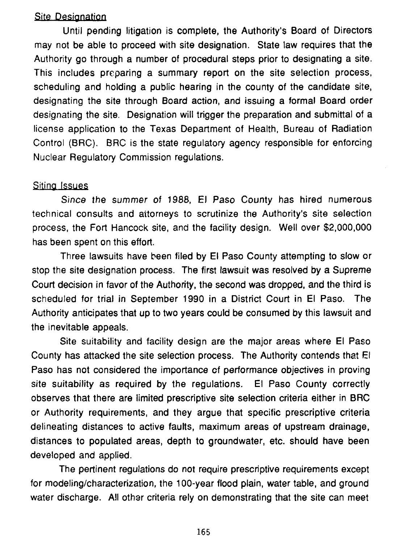### **Site Designation**

Until pending litigation is complete, the Authority's Board of Directors may not be able to proceed with site designation. State law requires that the Authority go through a number of procedural steps prior to designating a site. This includes preparing a summary report on the site selection process, scheduling and holding a public hearing in the county of the candidate site, designating the site through Board action, and issuing a formal Board order designating the site. Designation will trigger the preparation and submittal of a license application to the Texas Department of Health, Bureau of Radiation Control (BRC). BRC is the state regulatory agency responsible for enforcing Nuclear Regulatory Commission regulations.

#### Siting Issues

Since the summer of 1988, El Paso County has hired numerous technical consults and attorneys to scrutinize the Authority's site selection process, the Fort Hancock site, and the facility design. Well over \$2,000,000 has been spent on this effort.

Three lawsuits have been filed by El Paso County attempting to slow or stop the site designation process. The first lawsuit was resolved by a Supreme Court decision in favor of the Authority, the second was dropped, and the third is scheduled for trial in September 1990 in a District Court in El Paso. The Authority anticipates that up to two years could be consumed by this lawsuit and the inevitable appeals.

Site suitability and facility design are the major areas where El Paso County has attacked the site selection process. The Authority contends that El Paso has not considered the importance of performance objectives in proving site suitability as required by the regulations. El Paso County correctly observes that there are limited prescriptive site selection criteria either in BRC or Authority requirements, and they argue that specific prescriptive criteria delineating distances to active faults, maximum areas of upstream drainage, distances to populated areas, depth to groundwater, etc. should have been developed and applied.

The pertinent regulations do not require prescriptive requirements except for modeling/characterization, the 100-year flood plain, water table, and ground water discharge. All other criteria rely on demonstrating that the site can meet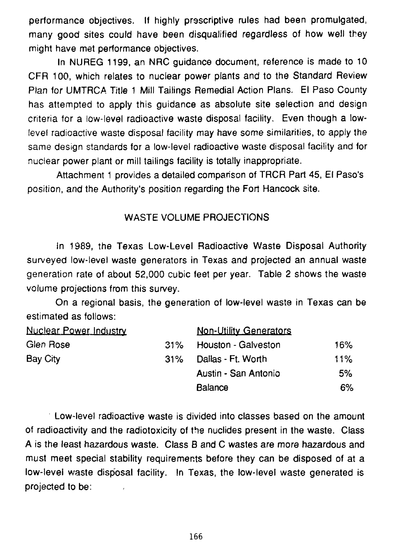performance objectives. If highly prsscriptive rules had been promulgated, many good sites could have been disqualified regardless of how well they might have met performance objectives.

In NUREG 1199, an NRC guidance document, reference is made to 10 CFR 100, which relates to nuclear power plants and to the Standard Review Plan for UMTRCA Title 1 Mill Tailings Remedial Action Plans. El Paso County has attempted to apply this guidance as absolute site selection and design criteria for a low-level radioactive waste disposal facility. Even though a lowlevel radioactive waste disposal facility may have some similarities, to apply the same design standards for a low-level radioactive waste disposal facility and for nuclear power plant or mill tailings facility is totally inappropriate.

Attachment 1 provides a detailed comparison of TRCR Part 45, El Paso's position, and the Authority's position regarding the Fort Hancock site.

### WASTE VOLUME PROJECTIONS

In 1989, the Texas Low-Level Radioactive Waste Disposal Authority surveyed low-level waste generators in Texas and projected an annual waste generation rate of about 52,000 cubic feet per year. Table 2 shows the waste volume projections from this survey.

On a regional basis, the generation of low-level waste in Texas can be estimated as follows:

| <b>Nuclear Power Industry</b> |     | <b>Non-Utility Generators</b> |       |
|-------------------------------|-----|-------------------------------|-------|
| Glen Rose                     | 31% | Houston - Galveston           | 16%   |
| Bay City                      | 31% | Dallas - Ft. Worth            | 11%   |
|                               |     | Austin - San Antonio          | 5%    |
|                               |     | <b>Balance</b>                | $6\%$ |

Low-level radioactive waste is divided into classes based on the amount of radioactivity and the radiotoxicity of ths nuclides present in the waste. Class A is the least hazardous waste. Class B and C wastes are more hazardous and must meet special stability requirements before they can be disposed of at a low-level waste disposal facility. !n Texas, the low-level waste generated is projected to be: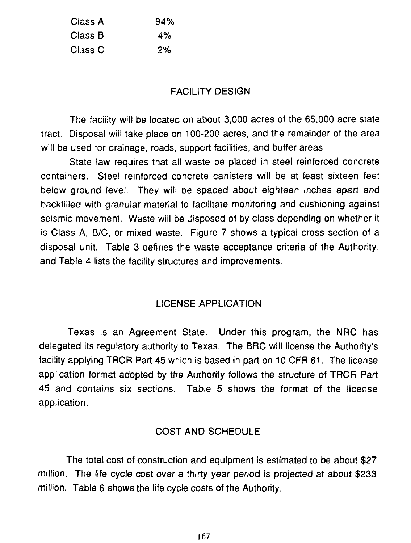| Class A | 94% |
|---------|-----|
| Class B | 4%  |
| Class C | 2%  |

### FACILITY DESIGN

The facility will be located on about 3,000 acres of the 65,000 acre state tract. Disposal will take place on 100-200 acres, and the remainder of the area will be used tor drainage, roads, support facilities, and buffer areas.

State law requires that all waste be placed in steel reinforced concrete containers. Steel reinforced concrete canisters will be at least sixteen feet below ground level. They will be spaced about eighteen inches apart and backfilled with granular material to facilitate monitoring and cushioning against seismic movement. Waste will be disposed of by class depending on whether it is Class A, B/C, or mixed waste. Figure 7 shows a typical cross section of a disposal unit. Table 3 defines the waste acceptance criteria of the Authority, and Table 4 lists the facility structures and improvements.

#### LICENSE APPLICATION

Texas is an Agreement State. Under this program, the NRC has delegated its regulatory authority to Texas. The BRC will license the Authority's facility applying TRCR Part 45 which is based in part on 10 CFR 61. The license application format adopted by the Authority follows the structure of TRCR Part 45 and contains six sections. Table 5 shows the format of the license application.

# COST AND SCHEDULE

The total cost of construction and equipment is estimated to be about \$27 million. The life cycle cost over a thirty year period is projected at about \$233 million. Table 6 shows the life cycle costs of the Authority.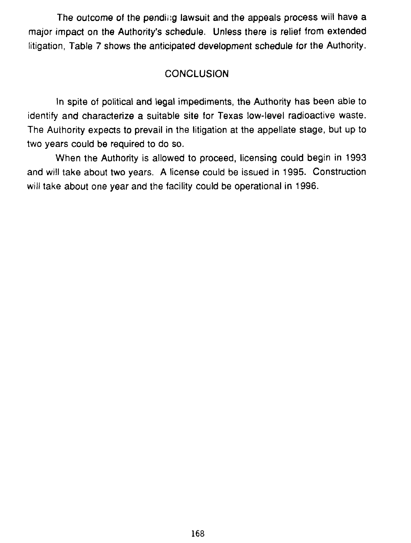The outcome of the pending lawsuit and the appeals process will have a major impact on the Authority's schedule. Unless there is relief from extended litigation, Table 7 shows the anticipated development schedule for the Authority.

# **CONCLUSION**

In spite of political and legal impediments, the Authority has been able to identify and characterize a suitable site for Texas low-level radioactive waste. The Authority expects to prevail in the litigation at the appellate stage, but up to two years could be required to do so.

When the Authority is allowed to proceed, licensing could begin in 1993 and will take about two years. A license could be issued in 1995. Construction will take about one year and the facility could be operational in 1996.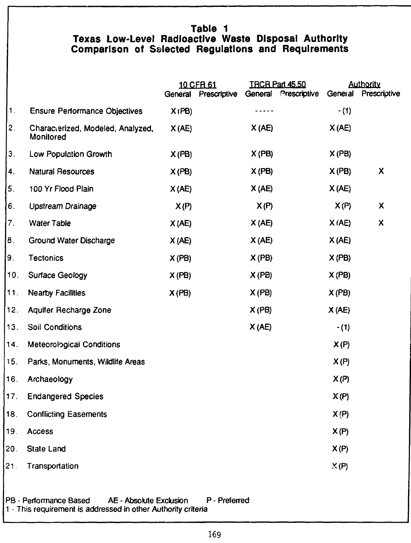# **Table 1 Texas Low-Level Radioactive Waste Disposal Authority Comparison of Selected Regulations and Requirements**

|     |                                                | General | 10 CFR 61<br>Prescriptive | General | <b>TRCR Part 45.50</b><br>Prescriptive | General | <b>Authority</b><br>Prescriptive |
|-----|------------------------------------------------|---------|---------------------------|---------|----------------------------------------|---------|----------------------------------|
| 1.  | <b>Ensure Performance Objectives</b>           | X(PB)   |                           |         |                                        | $-(1)$  |                                  |
| 2.  | Characterized, Modeled, Analyzed,<br>Monitored | X(AE)   |                           | X(AE)   |                                        | X(AE)   |                                  |
| 3.  | Low Population Growth                          | X(PB)   |                           | X(PB)   |                                        | X(PB)   |                                  |
| 4.  | Natural Resources                              | X(PB)   |                           | X(PB)   |                                        | X(PB)   | X                                |
| 5.  | 100 Yr Flood Plain                             | X(AE)   |                           | X(AE)   |                                        | X(AE)   |                                  |
| 6.  | <b>Upstream Drainage</b>                       | X(P)    |                           | X(P)    |                                        | X(P)    | X.                               |
| 7.  | Water Table                                    | X(AE)   |                           | X(AE)   |                                        | X(AE)   | X                                |
| 8.  | Ground Water Discharge                         | X(AE)   |                           | X(AE)   |                                        | X(AE)   |                                  |
| β.  | <b>Tectonics</b>                               | X(PB)   |                           | X(PB)   |                                        | X(PB)   |                                  |
| 10. | <b>Surface Geology</b>                         | X(PB)   |                           | X(PB)   |                                        | X(PB)   |                                  |
| 11. | <b>Nearby Facilities</b>                       | X(PB)   |                           | X(PB)   |                                        | X(PB)   |                                  |
| 12. | Aquifer Recharge Zone                          |         |                           | X(PB)   |                                        | X(AE)   |                                  |
| 13. | Soil Conditions                                |         |                           | X(AE)   |                                        | $-(1)$  |                                  |
| 14. | Meteorological Conditions                      |         |                           |         |                                        | X(P)    |                                  |
| 15. | Parks, Monuments, Wildlife Areas               |         |                           |         |                                        | X(P)    |                                  |
| 16. | Archaeology                                    |         |                           |         |                                        | X(P)    |                                  |
| 17. | <b>Endangered Species</b>                      |         |                           |         |                                        | X(P)    |                                  |
| 18. | <b>Conflicting Easements</b>                   |         |                           |         |                                        | X(P)    |                                  |
| 19. | <b>Access</b>                                  |         |                           |         |                                        | X(P)    |                                  |
| 20. | State Land                                     |         |                           |         |                                        | X(P)    |                                  |
| 21. | Transportation                                 |         |                           |         |                                        | X(P)    |                                  |
|     |                                                |         |                           |         |                                        |         |                                  |

#### PB - Performance Based AE - Absolute Exclusion 1 - This requirement is addressed in other Authority criteria P - Preferred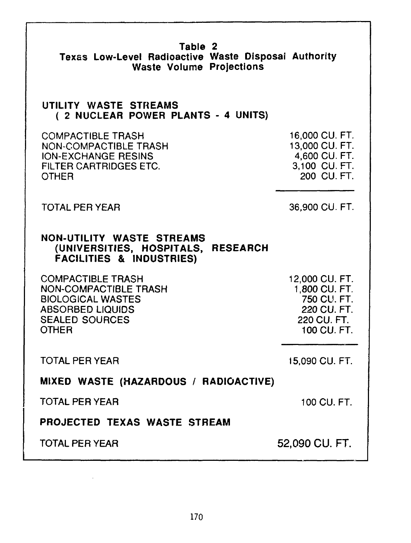| Table 2<br>Texas Low-Level Radioactive Waste Disposal Authority<br><b>Waste Volume Projections</b>                                                       |                                                                                             |  |
|----------------------------------------------------------------------------------------------------------------------------------------------------------|---------------------------------------------------------------------------------------------|--|
| UTILITY WASTE STREAMS<br>(2 NUCLEAR POWER PLANTS - 4 UNITS)                                                                                              |                                                                                             |  |
| <b>COMPACTIBLE TRASH</b><br><b>NON-COMPACTIBLE TRASH</b><br><b>ION-EXCHANGE RESINS</b><br><b>FILTER CARTRIDGES ETC.</b><br><b>OTHER</b>                  | 16,000 CU. FT.<br>13,000 CU. FT.<br>4,600 CU. FT.<br>3,100 CU. FT.<br>200 CU. FT.           |  |
| <b>TOTAL PER YEAR</b>                                                                                                                                    | 36,900 CU. FT.                                                                              |  |
| NON-UTILITY WASTE STREAMS<br>(UNIVERSITIES, HOSPITALS,<br><b>RESEARCH</b><br><b>FACILITIES &amp; INDUSTRIES)</b>                                         |                                                                                             |  |
| <b>COMPACTIBLE TRASH</b><br><b>NON-COMPACTIBLE TRASH</b><br><b>BIOLOGICAL WASTES</b><br><b>ABSORBED LIQUIDS</b><br><b>SEALED SOURCES</b><br><b>OTHER</b> | 12,000 CU. FT.<br>1,800 CU. FT.<br>750 CU. FT.<br>220 CU, FT.<br>220 CU, FT.<br>100 CU. FT. |  |
| <b>TOTAL PER YEAR</b>                                                                                                                                    | 15,090 CU. FT.                                                                              |  |
| MIXED WASTE (HAZARDOUS / RADIOACTIVE)                                                                                                                    |                                                                                             |  |
| <b>TOTAL PER YEAR</b>                                                                                                                                    | 100 CU, FT.                                                                                 |  |
| PROJECTED TEXAS WASTE STREAM                                                                                                                             |                                                                                             |  |
| <b>TOTAL PER YEAR</b>                                                                                                                                    | 52,090 CU. FT.                                                                              |  |

 $\cdot$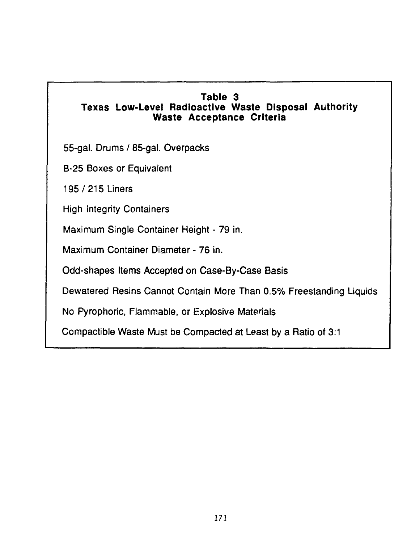# **Table 3**

# **Texas Low-Level Radioactive Waste Disposal Authority Waste Acceptance Criteria**

55-gal. Drums / 85-gal. Overpacks

B-25 Boxes or Equivalent

195/215 Liners

High Integrity Containers

Maximum Single Container Height - 79 in.

Maximum Container Diameter - 76 in.

Odd-shapes Items Accepted on Case-By-Case Basis

Dewatered Resins Cannot Contain More Than 0.5% Freestanding Liquids

No Pyrophoric, Flammable, or Explosive Materials

Compactible Waste Must be Compacted at Least by a Ratio of 3:1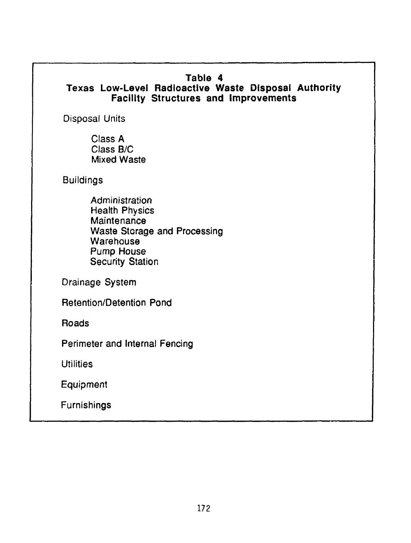# **Table 4**

# **Texas Low-Level Radioactive Waste Disposal Authority Facility Structures and Improvements**

Disposal Units

Class A Class B/C Mixed Waste

**Buildings** 

**Administration** Health Physics **Maintenance** Waste Storage and Processing **Warehouse** Pump House Security Station

Drainage System

Retention/Detention Pond

Roads

Perimeter and Internal Fencing

Utilities

Equipment

**Furnishings**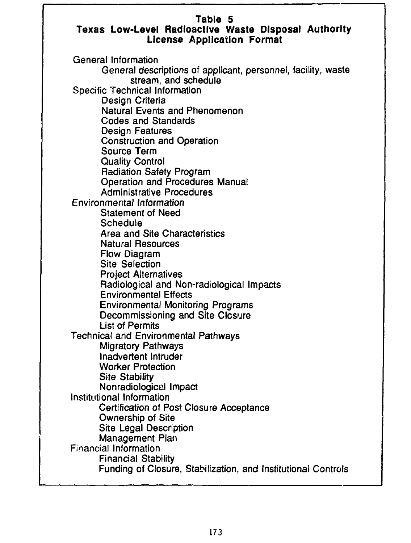# **Table 5**

# **Texas Low-Level Radioactive Waste Disposal Authority License Application Format**

General Information General descriptions of applicant, personnel, facility, waste stream, and schedule Specific Technical Information Design Criteria Natural Events and Phenomenon Codes and Standards Design Features Construction and Operation Source Term Quality Control Radiation Safety Program Operation and Procedures Manual Administrative Procedures Environmental Information Statement of Need Schedule Area and Site Characteristics Natural Resources Flow Diagram Site Selection Project Alternatives Radiological and Non-radiological Impacts Environmental Effects Environmental Monitoring Programs Decommissioning and Site Closure List of Permits Technical and Environmental Pathways Migratory Pathways Inadvertent Intruder Worker Protection Site Stability Nonradiological Impact Institutional Information Certification of Post Closure Acceptance Ownership of Site Site Legal Description Management Plan Financial Information Financial Stability Funding of Closure, Stabilization, and Institutional Controls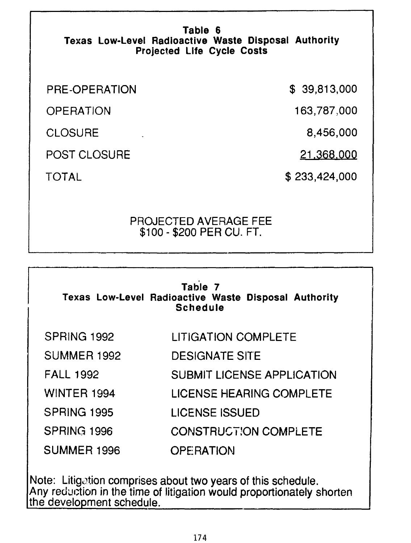# **Table 6 Texas Low-Level Radioactive Waste Disposal Authority t Projected Life Cycle Costs**

PRE-OPERATION

POST CLOSURE

**OPERATION** 

**CLOSURE** 

TOTAL

\$ 39 ,813 000

163 787 000

8 456 000

21 363 000

\$233 ,424 000

# PROJECTED AVERAGE FEE \$100-\$200 PER CU. FT.

| Table 7<br>Texas Low-Level Radioactive Waste Disposal Authority<br><b>Schedule</b> |                                   |  |  |  |
|------------------------------------------------------------------------------------|-----------------------------------|--|--|--|
| SPRING 1992                                                                        | <b>LITIGATION COMPLETE</b>        |  |  |  |
| SUMMER 1992                                                                        | <b>DESIGNATE SITE</b>             |  |  |  |
| <b>FALL 1992</b>                                                                   | <b>SUBMIT LICENSE APPLICATION</b> |  |  |  |
| <b>WINTER 1994</b>                                                                 | <b>LICENSE HEARING COMPLETE</b>   |  |  |  |
| SPRING 1995                                                                        | <b>LICENSE ISSUED</b>             |  |  |  |
| SPRING 1996                                                                        | <b>CONSTRUCTION COMPLETE</b>      |  |  |  |
| SUMMER 1996                                                                        | <b>OPE RATION</b>                 |  |  |  |

Note: Litigation comprises about two years of this schedule. Any reduction in the time of litigation would proportionately shorten the development schedule.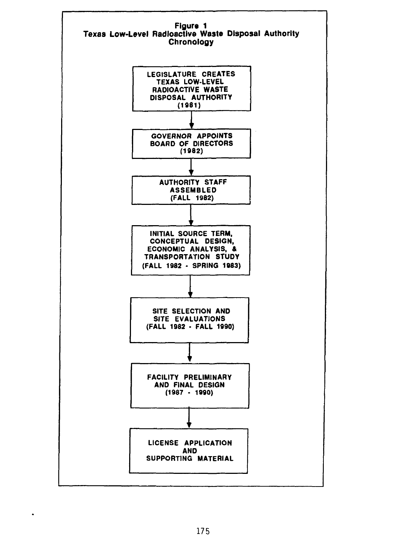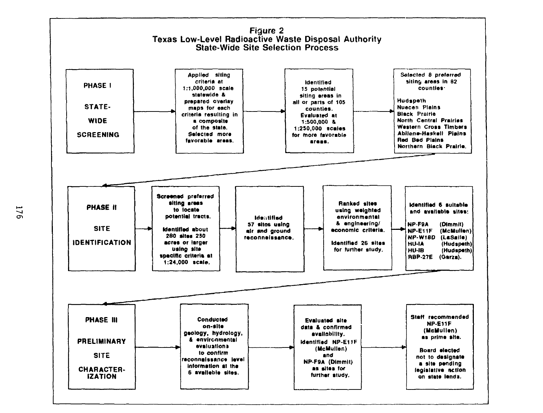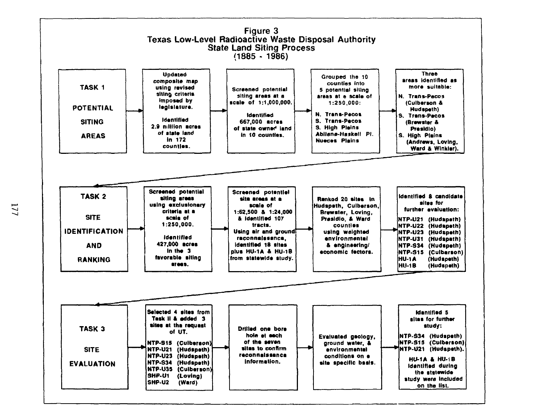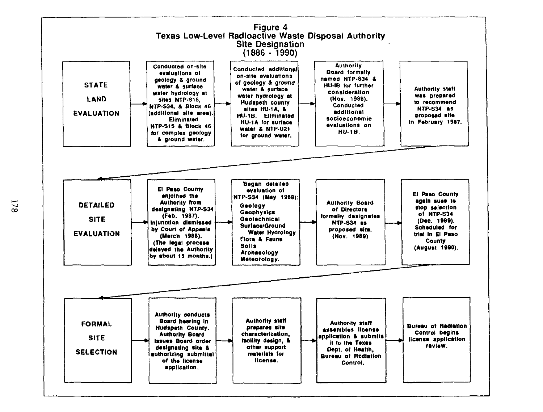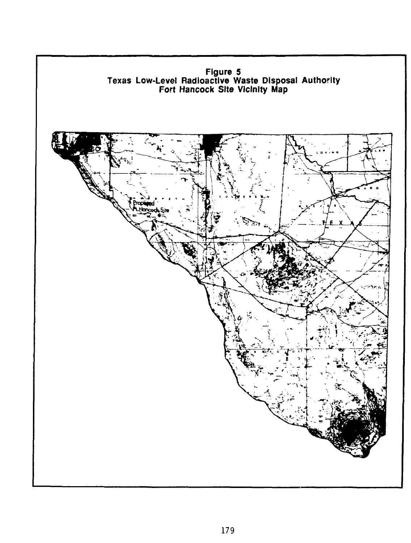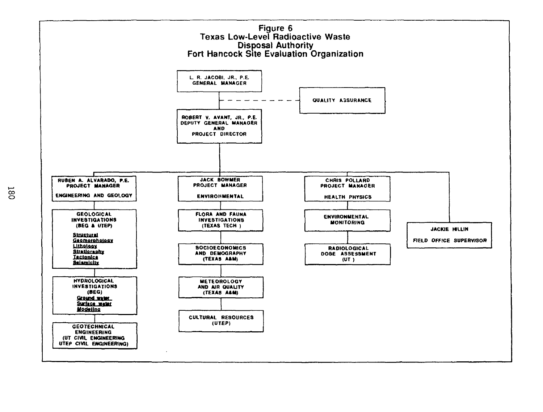